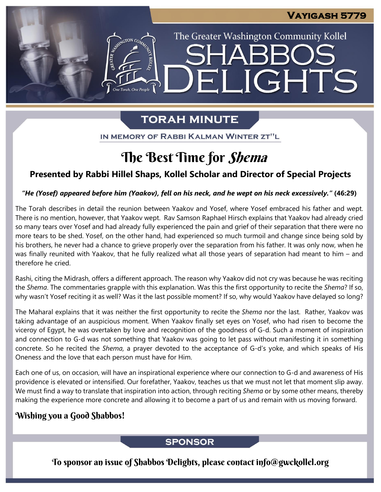The Greater Washington Community Kollel

ELIGHTS

# **TORAH MINUTE**

IN MEMORY OF RABBI KALMAN WINTER ZT"L

# The Best Time for Shema

### **Presented by Rabbi Hillel Shaps, Kollel Scholar and Director of Special Projects**

#### "He (Yosef) appeared before him (Yaakov), fell on his neck, and he wept on his neck excessively." (46:29)

The Torah describes in detail the reunion between Yaakov and Yosef, where Yosef embraced his father and wept. There is no mention, however, that Yaakov wept. Rav Samson Raphael Hirsch explains that Yaakov had already cried so many tears over Yosef and had already fully experienced the pain and grief of their separation that there were no more tears to be shed. Yosef, on the other hand, had experienced so much turmoil and change since being sold by his brothers, he never had a chance to grieve properly over the separation from his father. It was only now, when he was finally reunited with Yaakov, that he fully realized what all those years of separation had meant to him – and therefore he cried.

Rashi, citing the Midrash, offers a different approach. The reason why Yaakov did not cry was because he was reciting the *Shema*. The commentaries grapple with this explanation. Was this the first opportunity to recite the *Shema*? If so, why wasn't Yosef reciting it as well? Was it the last possible moment? If so, why would Yaakov have delayed so long?

The Maharal explains that it was neither the first opportunity to recite the *Shema* nor the last. Rather, Yaakov was taking advantage of an auspicious moment. When Yaakov finally set eyes on Yosef, who had risen to become the viceroy of Egypt, he was overtaken by love and recognition of the goodness of G-d. Such a moment of inspiration and connection to G-d was not something that Yaakov was going to let pass without manifesting it in something concrete. So he recited the *Shema,* a prayer devoted to the acceptance of G-d's yoke, and which speaks of His Oneness and the love that each person must have for Him.

Each one of us, on occasion, will have an inspirational experience where our connection to G-d and awareness of His providence is elevated or intensified. Our forefather, Yaakov, teaches us that we must not let that moment slip away. We must find a way to translate that inspiration into action, through reciting *Shema* or by some other means, thereby making the experience more concrete and allowing it to become a part of us and remain with us moving forward.

### Wishing you a Good Shabbos!

### **SPONSOR**

To sponsor an issue of Shabbos Delights, please contact info@gwckollel.org